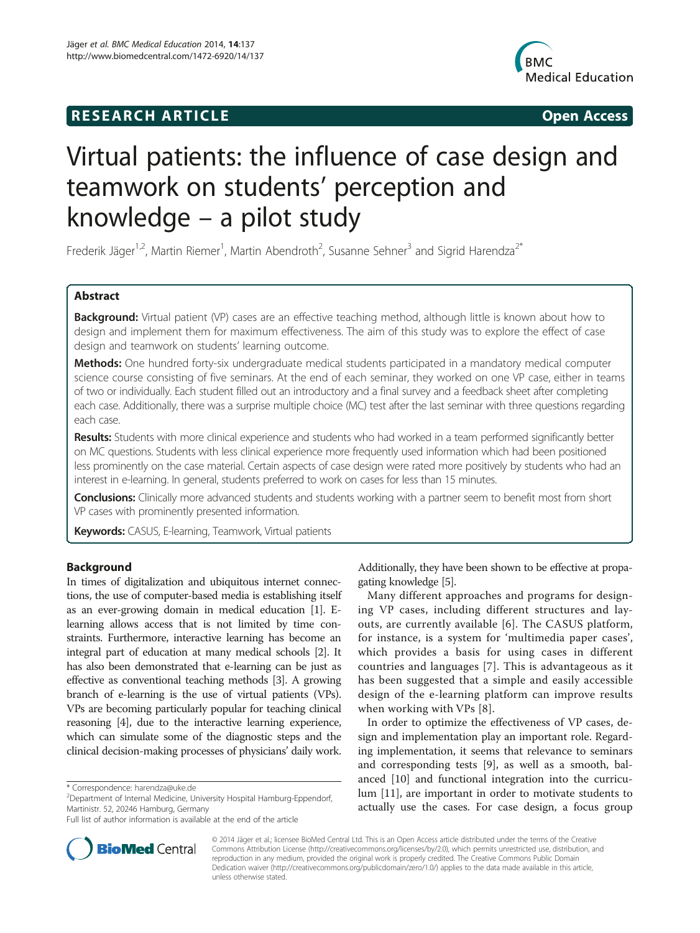## **RESEARCH ARTICLE Example 2018 Open Access**



# Virtual patients: the influence of case design and teamwork on students' perception and knowledge – a pilot study

Frederik Jäger<sup>1,2</sup>, Martin Riemer<sup>1</sup>, Martin Abendroth<sup>2</sup>, Susanne Sehner<sup>3</sup> and Sigrid Harendza<sup>2\*</sup>

## Abstract

Background: Virtual patient (VP) cases are an effective teaching method, although little is known about how to design and implement them for maximum effectiveness. The aim of this study was to explore the effect of case design and teamwork on students' learning outcome.

Methods: One hundred forty-six undergraduate medical students participated in a mandatory medical computer science course consisting of five seminars. At the end of each seminar, they worked on one VP case, either in teams of two or individually. Each student filled out an introductory and a final survey and a feedback sheet after completing each case. Additionally, there was a surprise multiple choice (MC) test after the last seminar with three questions regarding each case.

Results: Students with more clinical experience and students who had worked in a team performed significantly better on MC questions. Students with less clinical experience more frequently used information which had been positioned less prominently on the case material. Certain aspects of case design were rated more positively by students who had an interest in e-learning. In general, students preferred to work on cases for less than 15 minutes.

Conclusions: Clinically more advanced students and students working with a partner seem to benefit most from short VP cases with prominently presented information.

Keywords: CASUS, E-learning, Teamwork, Virtual patients

## Background

In times of digitalization and ubiquitous internet connections, the use of computer-based media is establishing itself as an ever-growing domain in medical education [\[1\]](#page-7-0). Elearning allows access that is not limited by time constraints. Furthermore, interactive learning has become an integral part of education at many medical schools [[2](#page-7-0)]. It has also been demonstrated that e-learning can be just as effective as conventional teaching methods [[3\]](#page-7-0). A growing branch of e-learning is the use of virtual patients (VPs). VPs are becoming particularly popular for teaching clinical reasoning [\[4\]](#page-7-0), due to the interactive learning experience, which can simulate some of the diagnostic steps and the clinical decision-making processes of physicians' daily work.



Many different approaches and programs for designing VP cases, including different structures and layouts, are currently available [\[6](#page-7-0)]. The CASUS platform, for instance, is a system for 'multimedia paper cases', which provides a basis for using cases in different countries and languages [\[7](#page-7-0)]. This is advantageous as it has been suggested that a simple and easily accessible design of the e-learning platform can improve results when working with VPs [\[8\]](#page-7-0).

In order to optimize the effectiveness of VP cases, design and implementation play an important role. Regarding implementation, it seems that relevance to seminars and corresponding tests [\[9](#page-7-0)], as well as a smooth, balanced [\[10\]](#page-7-0) and functional integration into the curriculum [\[11](#page-7-0)], are important in order to motivate students to actually use the cases. For case design, a focus group



© 2014 Jäger et al.; licensee BioMed Central Ltd. This is an Open Access article distributed under the terms of the Creative Commons Attribution License [\(http://creativecommons.org/licenses/by/2.0\)](http://creativecommons.org/licenses/by/2.0), which permits unrestricted use, distribution, and reproduction in any medium, provided the original work is properly credited. The Creative Commons Public Domain Dedication waiver [\(http://creativecommons.org/publicdomain/zero/1.0/](http://creativecommons.org/publicdomain/zero/1.0/)) applies to the data made available in this article, unless otherwise stated.

<sup>\*</sup> Correspondence: [harendza@uke.de](mailto:harendza@uke.de) <sup>2</sup>

<sup>&</sup>lt;sup>2</sup>Department of Internal Medicine, University Hospital Hamburg-Eppendorf, Martinistr. 52, 20246 Hamburg, Germany

Full list of author information is available at the end of the article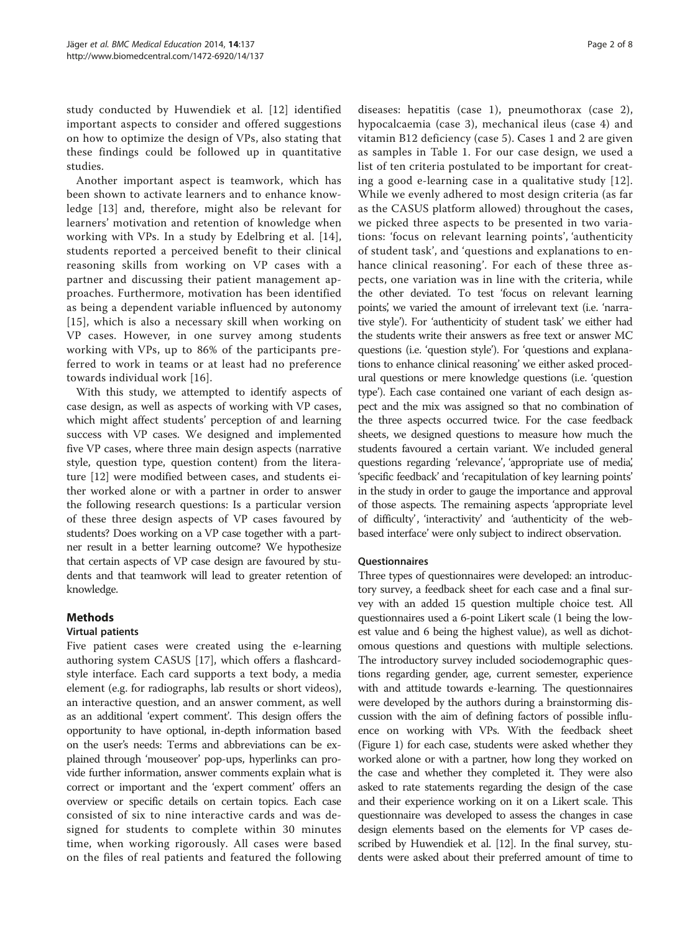study conducted by Huwendiek et al. [[12](#page-7-0)] identified important aspects to consider and offered suggestions on how to optimize the design of VPs, also stating that these findings could be followed up in quantitative studies.

Another important aspect is teamwork, which has been shown to activate learners and to enhance knowledge [[13](#page-7-0)] and, therefore, might also be relevant for learners' motivation and retention of knowledge when working with VPs. In a study by Edelbring et al. [[14](#page-7-0)], students reported a perceived benefit to their clinical reasoning skills from working on VP cases with a partner and discussing their patient management approaches. Furthermore, motivation has been identified as being a dependent variable influenced by autonomy [[15](#page-7-0)], which is also a necessary skill when working on VP cases. However, in one survey among students working with VPs, up to 86% of the participants preferred to work in teams or at least had no preference towards individual work [[16](#page-7-0)].

With this study, we attempted to identify aspects of case design, as well as aspects of working with VP cases, which might affect students' perception of and learning success with VP cases. We designed and implemented five VP cases, where three main design aspects (narrative style, question type, question content) from the literature [\[12\]](#page-7-0) were modified between cases, and students either worked alone or with a partner in order to answer the following research questions: Is a particular version of these three design aspects of VP cases favoured by students? Does working on a VP case together with a partner result in a better learning outcome? We hypothesize that certain aspects of VP case design are favoured by students and that teamwork will lead to greater retention of knowledge.

## Methods

## Virtual patients

Five patient cases were created using the e-learning authoring system CASUS [\[17\]](#page-7-0), which offers a flashcardstyle interface. Each card supports a text body, a media element (e.g. for radiographs, lab results or short videos), an interactive question, and an answer comment, as well as an additional 'expert comment'. This design offers the opportunity to have optional, in-depth information based on the user's needs: Terms and abbreviations can be explained through 'mouseover' pop-ups, hyperlinks can provide further information, answer comments explain what is correct or important and the 'expert comment' offers an overview or specific details on certain topics. Each case consisted of six to nine interactive cards and was designed for students to complete within 30 minutes time, when working rigorously. All cases were based on the files of real patients and featured the following

diseases: hepatitis (case 1), pneumothorax (case 2), hypocalcaemia (case 3), mechanical ileus (case 4) and vitamin B12 deficiency (case 5). Cases 1 and 2 are given as samples in Table [1](#page-2-0). For our case design, we used a list of ten criteria postulated to be important for creating a good e-learning case in a qualitative study [[12](#page-7-0)]. While we evenly adhered to most design criteria (as far as the CASUS platform allowed) throughout the cases, we picked three aspects to be presented in two variations: 'focus on relevant learning points', 'authenticity of student task', and 'questions and explanations to enhance clinical reasoning'. For each of these three aspects, one variation was in line with the criteria, while the other deviated. To test 'focus on relevant learning points, we varied the amount of irrelevant text (i.e. 'narrative style'). For 'authenticity of student task' we either had the students write their answers as free text or answer MC questions (i.e. 'question style'). For 'questions and explanations to enhance clinical reasoning' we either asked procedural questions or mere knowledge questions (i.e. 'question type'). Each case contained one variant of each design aspect and the mix was assigned so that no combination of the three aspects occurred twice. For the case feedback sheets, we designed questions to measure how much the students favoured a certain variant. We included general questions regarding 'relevance', 'appropriate use of media,' 'specific feedback' and 'recapitulation of key learning points' in the study in order to gauge the importance and approval of those aspects. The remaining aspects 'appropriate level of difficulty', 'interactivity' and 'authenticity of the webbased interface' were only subject to indirect observation.

## **Questionnaires**

Three types of questionnaires were developed: an introductory survey, a feedback sheet for each case and a final survey with an added 15 question multiple choice test. All questionnaires used a 6-point Likert scale (1 being the lowest value and 6 being the highest value), as well as dichotomous questions and questions with multiple selections. The introductory survey included sociodemographic questions regarding gender, age, current semester, experience with and attitude towards e-learning. The questionnaires were developed by the authors during a brainstorming discussion with the aim of defining factors of possible influence on working with VPs. With the feedback sheet (Figure [1](#page-3-0)) for each case, students were asked whether they worked alone or with a partner, how long they worked on the case and whether they completed it. They were also asked to rate statements regarding the design of the case and their experience working on it on a Likert scale. This questionnaire was developed to assess the changes in case design elements based on the elements for VP cases described by Huwendiek et al. [[12](#page-7-0)]. In the final survey, students were asked about their preferred amount of time to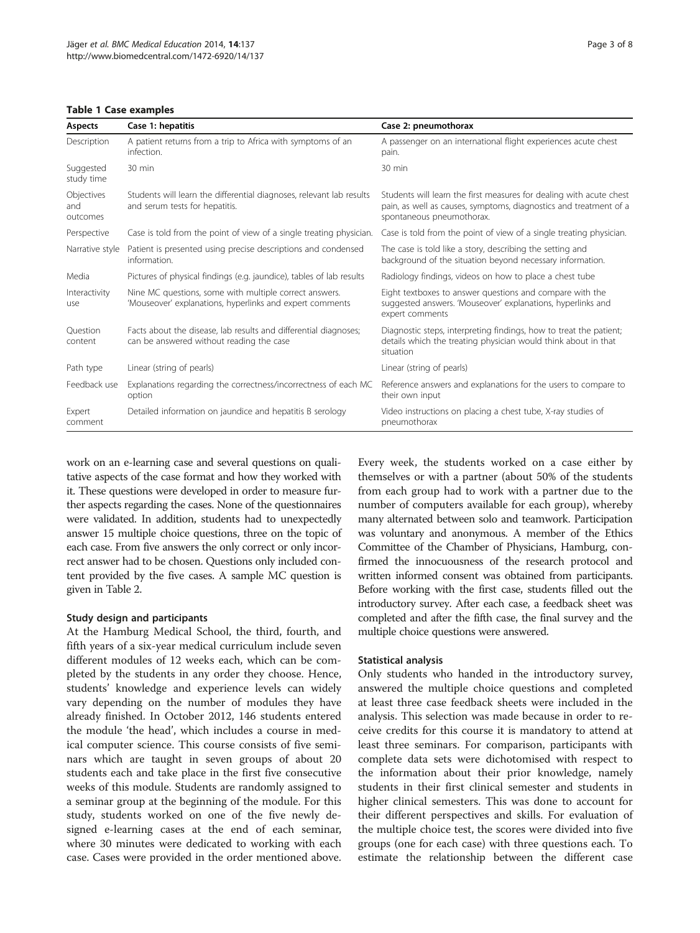#### <span id="page-2-0"></span>Table 1 Case examples

| Aspects                       | Case 1: hepatitis                                                                                                  | Case 2: pneumothorax                                                                                                                                                  |  |  |  |
|-------------------------------|--------------------------------------------------------------------------------------------------------------------|-----------------------------------------------------------------------------------------------------------------------------------------------------------------------|--|--|--|
| Description                   | A patient returns from a trip to Africa with symptoms of an<br>infection.                                          | A passenger on an international flight experiences acute chest<br>pain.                                                                                               |  |  |  |
| Suggested<br>study time       | 30 min                                                                                                             | 30 min                                                                                                                                                                |  |  |  |
| Objectives<br>and<br>outcomes | Students will learn the differential diagnoses, relevant lab results<br>and serum tests for hepatitis.             | Students will learn the first measures for dealing with acute chest<br>pain, as well as causes, symptoms, diagnostics and treatment of a<br>spontaneous pneumothorax. |  |  |  |
| Perspective                   | Case is told from the point of view of a single treating physician.                                                | Case is told from the point of view of a single treating physician.                                                                                                   |  |  |  |
| Narrative style               | Patient is presented using precise descriptions and condensed<br>information.                                      | The case is told like a story, describing the setting and<br>background of the situation beyond necessary information.                                                |  |  |  |
| Media                         | Pictures of physical findings (e.g. jaundice), tables of lab results                                               | Radiology findings, videos on how to place a chest tube                                                                                                               |  |  |  |
| Interactivity<br>use          | Nine MC questions, some with multiple correct answers.<br>'Mouseover' explanations, hyperlinks and expert comments | Eight textboxes to answer questions and compare with the<br>suggested answers. 'Mouseover' explanations, hyperlinks and<br>expert comments                            |  |  |  |
| Question<br>content           | Facts about the disease, lab results and differential diagnoses;<br>can be answered without reading the case       | Diagnostic steps, interpreting findings, how to treat the patient;<br>details which the treating physician would think about in that<br>situation                     |  |  |  |
| Path type                     | Linear (string of pearls)                                                                                          | Linear (string of pearls)                                                                                                                                             |  |  |  |
| Feedback use                  | Explanations regarding the correctness/incorrectness of each MC<br>option                                          | Reference answers and explanations for the users to compare to<br>their own input                                                                                     |  |  |  |
| Expert<br>comment             | Detailed information on jaundice and hepatitis B serology                                                          | Video instructions on placing a chest tube, X-ray studies of<br>pneumothorax                                                                                          |  |  |  |

work on an e-learning case and several questions on qualitative aspects of the case format and how they worked with it. These questions were developed in order to measure further aspects regarding the cases. None of the questionnaires were validated. In addition, students had to unexpectedly answer 15 multiple choice questions, three on the topic of each case. From five answers the only correct or only incorrect answer had to be chosen. Questions only included content provided by the five cases. A sample MC question is given in Table [2.](#page-3-0)

#### Study design and participants

At the Hamburg Medical School, the third, fourth, and fifth years of a six-year medical curriculum include seven different modules of 12 weeks each, which can be completed by the students in any order they choose. Hence, students' knowledge and experience levels can widely vary depending on the number of modules they have already finished. In October 2012, 146 students entered the module 'the head', which includes a course in medical computer science. This course consists of five seminars which are taught in seven groups of about 20 students each and take place in the first five consecutive weeks of this module. Students are randomly assigned to a seminar group at the beginning of the module. For this study, students worked on one of the five newly designed e-learning cases at the end of each seminar, where 30 minutes were dedicated to working with each case. Cases were provided in the order mentioned above.

Every week, the students worked on a case either by themselves or with a partner (about 50% of the students from each group had to work with a partner due to the number of computers available for each group), whereby many alternated between solo and teamwork. Participation was voluntary and anonymous. A member of the Ethics Committee of the Chamber of Physicians, Hamburg, confirmed the innocuousness of the research protocol and written informed consent was obtained from participants. Before working with the first case, students filled out the introductory survey. After each case, a feedback sheet was completed and after the fifth case, the final survey and the multiple choice questions were answered.

## Statistical analysis

Only students who handed in the introductory survey, answered the multiple choice questions and completed at least three case feedback sheets were included in the analysis. This selection was made because in order to receive credits for this course it is mandatory to attend at least three seminars. For comparison, participants with complete data sets were dichotomised with respect to the information about their prior knowledge, namely students in their first clinical semester and students in higher clinical semesters. This was done to account for their different perspectives and skills. For evaluation of the multiple choice test, the scores were divided into five groups (one for each case) with three questions each. To estimate the relationship between the different case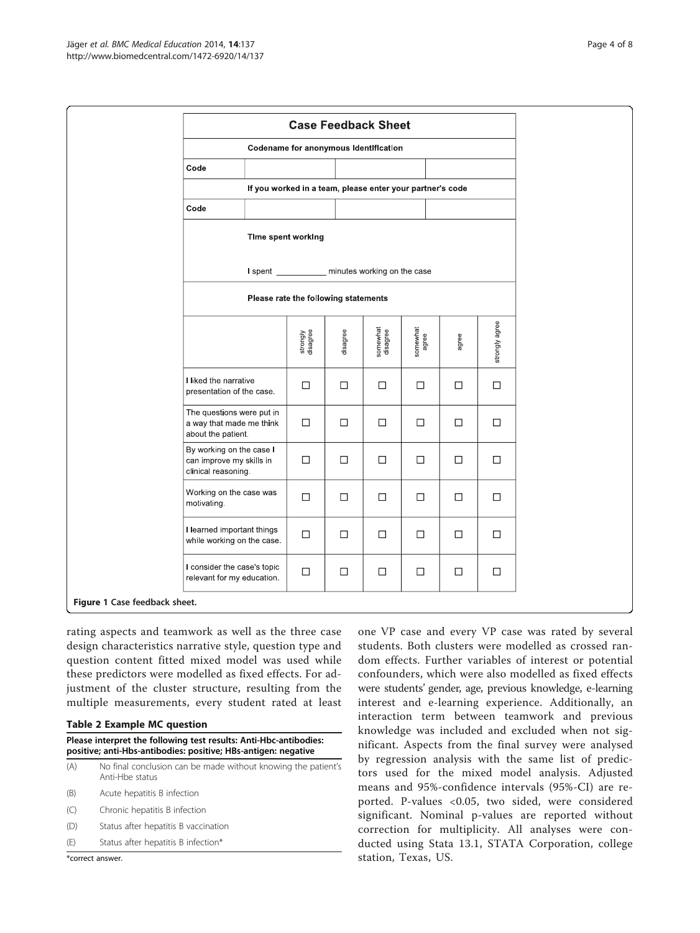<span id="page-3-0"></span>

rating aspects and teamwork as well as the three case design characteristics narrative style, question type and question content fitted mixed model was used while these predictors were modelled as fixed effects. For adjustment of the cluster structure, resulting from the multiple measurements, every student rated at least

#### Table 2 Example MC question

| Please interpret the following test results: Anti-Hbc-antibodies:<br>positive; anti-Hbs-antibodies: positive; HBs-antigen: negative |                                                                                  |  |  |  |  |
|-------------------------------------------------------------------------------------------------------------------------------------|----------------------------------------------------------------------------------|--|--|--|--|
| (A)                                                                                                                                 | No final conclusion can be made without knowing the patient's<br>Anti-Hbe status |  |  |  |  |
| (B)                                                                                                                                 | Acute hepatitis B infection                                                      |  |  |  |  |
| (C)                                                                                                                                 | Chronic hepatitis B infection                                                    |  |  |  |  |
| (D)                                                                                                                                 | Status after hepatitis B vaccination                                             |  |  |  |  |
| (E)                                                                                                                                 | Status after hepatitis B infection*                                              |  |  |  |  |
|                                                                                                                                     | *correct answer.                                                                 |  |  |  |  |

one VP case and every VP case was rated by several students. Both clusters were modelled as crossed random effects. Further variables of interest or potential confounders, which were also modelled as fixed effects were students' gender, age, previous knowledge, e-learning interest and e-learning experience. Additionally, an interaction term between teamwork and previous knowledge was included and excluded when not significant. Aspects from the final survey were analysed by regression analysis with the same list of predictors used for the mixed model analysis. Adjusted means and 95%-confidence intervals (95%-CI) are reported. P-values <0.05, two sided, were considered significant. Nominal p-values are reported without correction for multiplicity. All analyses were conducted using Stata 13.1, STATA Corporation, college station, Texas, US.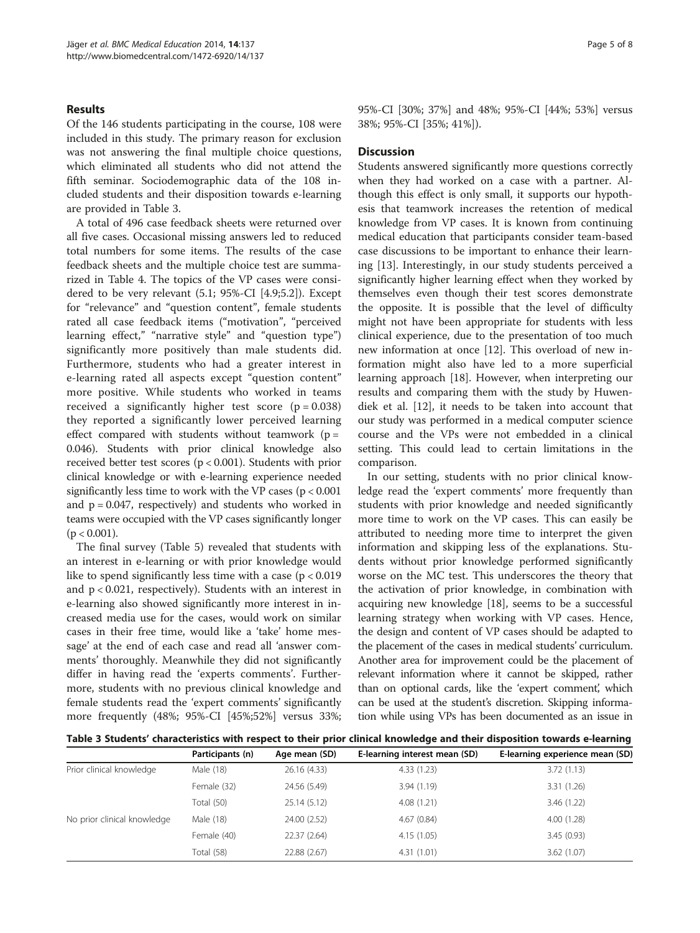## Results

Of the 146 students participating in the course, 108 were included in this study. The primary reason for exclusion was not answering the final multiple choice questions, which eliminated all students who did not attend the fifth seminar. Sociodemographic data of the 108 included students and their disposition towards e-learning are provided in Table 3.

A total of 496 case feedback sheets were returned over all five cases. Occasional missing answers led to reduced total numbers for some items. The results of the case feedback sheets and the multiple choice test are summarized in Table [4](#page-5-0). The topics of the VP cases were considered to be very relevant (5.1; 95%-CI [4.9;5.2]). Except for "relevance" and "question content", female students rated all case feedback items ("motivation", "perceived learning effect," "narrative style" and "question type") significantly more positively than male students did. Furthermore, students who had a greater interest in e-learning rated all aspects except "question content" more positive. While students who worked in teams received a significantly higher test score  $(p = 0.038)$ they reported a significantly lower perceived learning effect compared with students without teamwork ( $p =$ 0.046). Students with prior clinical knowledge also received better test scores (p < 0.001). Students with prior clinical knowledge or with e-learning experience needed significantly less time to work with the VP cases ( $p < 0.001$ ) and  $p = 0.047$ , respectively) and students who worked in teams were occupied with the VP cases significantly longer  $(p < 0.001)$ .

The final survey (Table [5](#page-5-0)) revealed that students with an interest in e-learning or with prior knowledge would like to spend significantly less time with a case  $(p < 0.019)$ and p < 0.021, respectively). Students with an interest in e-learning also showed significantly more interest in increased media use for the cases, would work on similar cases in their free time, would like a 'take' home message' at the end of each case and read all 'answer comments' thoroughly. Meanwhile they did not significantly differ in having read the 'experts comments'. Furthermore, students with no previous clinical knowledge and female students read the 'expert comments' significantly more frequently (48%; 95%-CI [45%;52%] versus 33%; 95%-CI [30%; 37%] and 48%; 95%-CI [44%; 53%] versus 38%; 95%-CI [35%; 41%]).

## **Discussion**

Students answered significantly more questions correctly when they had worked on a case with a partner. Although this effect is only small, it supports our hypothesis that teamwork increases the retention of medical knowledge from VP cases. It is known from continuing medical education that participants consider team-based case discussions to be important to enhance their learning [\[13\]](#page-7-0). Interestingly, in our study students perceived a significantly higher learning effect when they worked by themselves even though their test scores demonstrate the opposite. It is possible that the level of difficulty might not have been appropriate for students with less clinical experience, due to the presentation of too much new information at once [\[12\]](#page-7-0). This overload of new information might also have led to a more superficial learning approach [\[18\]](#page-7-0). However, when interpreting our results and comparing them with the study by Huwendiek et al. [[12\]](#page-7-0), it needs to be taken into account that our study was performed in a medical computer science course and the VPs were not embedded in a clinical setting. This could lead to certain limitations in the comparison.

In our setting, students with no prior clinical knowledge read the 'expert comments' more frequently than students with prior knowledge and needed significantly more time to work on the VP cases. This can easily be attributed to needing more time to interpret the given information and skipping less of the explanations. Students without prior knowledge performed significantly worse on the MC test. This underscores the theory that the activation of prior knowledge, in combination with acquiring new knowledge [\[18](#page-7-0)], seems to be a successful learning strategy when working with VP cases. Hence, the design and content of VP cases should be adapted to the placement of the cases in medical students' curriculum. Another area for improvement could be the placement of relevant information where it cannot be skipped, rather than on optional cards, like the 'expert comment', which can be used at the student's discretion. Skipping information while using VPs has been documented as an issue in

| Table 3 Students' characteristics with respect to their prior clinical knowledge and their disposition towards e-learning |  |  |
|---------------------------------------------------------------------------------------------------------------------------|--|--|
|---------------------------------------------------------------------------------------------------------------------------|--|--|

|                             | Participants (n) | Age mean (SD) | E-learning interest mean (SD) | E-learning experience mean (SD) |
|-----------------------------|------------------|---------------|-------------------------------|---------------------------------|
| Prior clinical knowledge    | Male (18)        | 26.16 (4.33)  | 4.33(1.23)                    | 3.72(1.13)                      |
|                             | Female (32)      | 24.56 (5.49)  | 3.94(1.19)                    | 3.31(1.26)                      |
|                             | Total $(50)$     | 25.14(5.12)   | 4.08(1.21)                    | 3.46(1.22)                      |
| No prior clinical knowledge | Male (18)        | 24.00 (2.52)  | 4.67(0.84)                    | 4.00(1.28)                      |
|                             | Female (40)      | 22.37 (2.64)  | 4.15(1.05)                    | 3.45(0.93)                      |
|                             | Total (58)       | 22.88 (2.67)  | 4.31(1.01)                    | 3.62(1.07)                      |
|                             |                  |               |                               |                                 |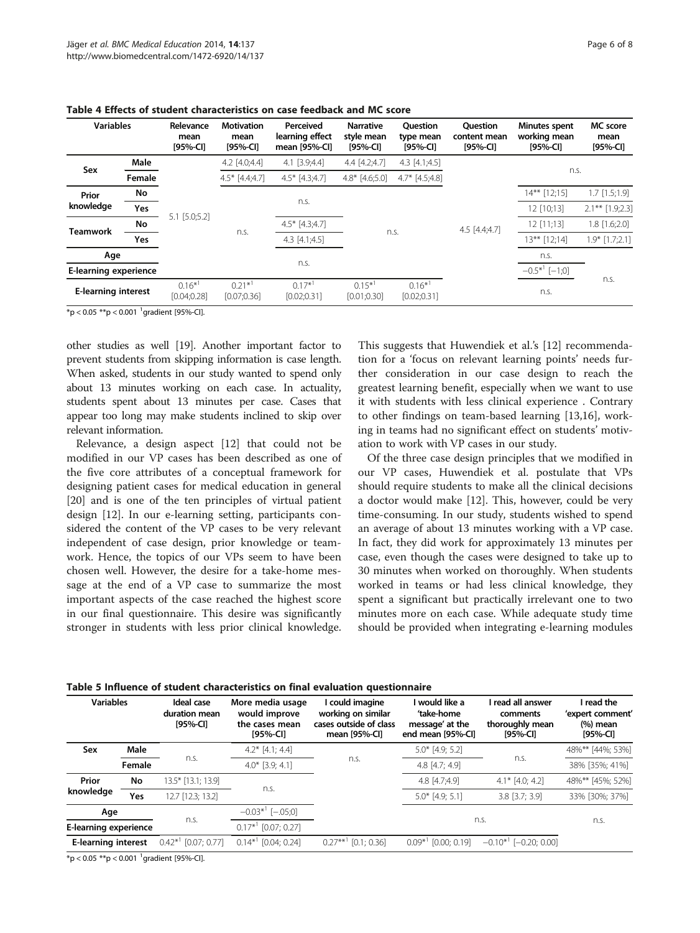| <b>Variables</b>           |        | Relevance<br>mean<br>[95%-CI] | <b>Motivation</b><br>mean<br>[95%-CI] | Perceived<br>learning effect<br>mean [95%-CI] | <b>Narrative</b><br>style mean<br>[95%-CI] | <b>Ouestion</b><br>type mean<br>[95%-CI] | <b>Ouestion</b><br>content mean<br>[95%-CI] | <b>Minutes spent</b><br>working mean<br>[95%-CI] | MC score<br>mean<br>$[95%-Cl]$ |
|----------------------------|--------|-------------------------------|---------------------------------------|-----------------------------------------------|--------------------------------------------|------------------------------------------|---------------------------------------------|--------------------------------------------------|--------------------------------|
|                            | Male   |                               | 4.2 [4.0;4.4]                         | 4.1 [3.9;4.4]                                 | $4.4$ [4.2;4.7]                            | $4.3$ [ $4.1;4.5$ ]                      |                                             | n.s.                                             |                                |
| Sex                        | Female |                               | $4.5*$ [4.4;4.7]                      | $4.5*$ [4.3;4.7]                              | $4.8*$ [4.6;5.0]                           | $4.7*$ [4.5;4.8]                         |                                             |                                                  |                                |
| Prior                      | No     |                               | $5.1$ [5.0;5.2]<br>n.s.               |                                               | n.S.                                       |                                          | $4.5$ [4.4;4.7]                             | 14** [12;15]                                     | $1.7$ [1.5;1.9]                |
| knowledge                  | Yes    |                               |                                       | n.s.                                          |                                            |                                          |                                             | 12 [10;13]                                       | $2.1***$ [1.9;2.3]             |
| <b>Teamwork</b>            | No     |                               |                                       | $4.5*$ [4.3;4.7]                              |                                            |                                          |                                             | 12 [11;13]                                       | 1.8 [1.6;2.0]                  |
|                            | Yes    |                               |                                       | 4.3 $[4.1;4.5]$                               |                                            |                                          |                                             | 13** [12;14]                                     | $1.9*$ [1.7;2.1]               |
| Age                        |        |                               |                                       |                                               |                                            |                                          |                                             | n.S.                                             |                                |
| E-learning experience      |        |                               |                                       | n.s.                                          |                                            |                                          |                                             | $-0.5*$ <sup>1</sup> [-1;0]                      |                                |
| <b>E-learning interest</b> |        | $0.16*1$<br>[0.04; 0.28]      | $0.21*$ <sup>1</sup><br>[0.07; 0.36]  | $0.17*1$<br>[0.02; 0.31]                      | $0.15*1$<br>[0.01; 0.30]                   | $0.16*1$<br>[0.02; 0.31]                 |                                             | n.s.                                             | n.s.                           |

<span id="page-5-0"></span>

| Table 4 Effects of student characteristics on case feedback and MC score |  |  |
|--------------------------------------------------------------------------|--|--|
|--------------------------------------------------------------------------|--|--|

 $*$ p < 0.05  $*$  $*$ p < 0.001 <sup>1</sup> gradient [95%-CI].

other studies as well [\[19\]](#page-7-0). Another important factor to prevent students from skipping information is case length. When asked, students in our study wanted to spend only about 13 minutes working on each case. In actuality, students spent about 13 minutes per case. Cases that appear too long may make students inclined to skip over relevant information.

Relevance, a design aspect [\[12](#page-7-0)] that could not be modified in our VP cases has been described as one of the five core attributes of a conceptual framework for designing patient cases for medical education in general [[20\]](#page-7-0) and is one of the ten principles of virtual patient design [\[12\]](#page-7-0). In our e-learning setting, participants considered the content of the VP cases to be very relevant independent of case design, prior knowledge or teamwork. Hence, the topics of our VPs seem to have been chosen well. However, the desire for a take-home message at the end of a VP case to summarize the most important aspects of the case reached the highest score in our final questionnaire. This desire was significantly stronger in students with less prior clinical knowledge. This suggests that Huwendiek et al.'s [\[12\]](#page-7-0) recommendation for a 'focus on relevant learning points' needs further consideration in our case design to reach the greatest learning benefit, especially when we want to use it with students with less clinical experience . Contrary to other findings on team-based learning [[13,16\]](#page-7-0), working in teams had no significant effect on students' motivation to work with VP cases in our study.

Of the three case design principles that we modified in our VP cases, Huwendiek et al. postulate that VPs should require students to make all the clinical decisions a doctor would make [\[12\]](#page-7-0). This, however, could be very time-consuming. In our study, students wished to spend an average of about 13 minutes working with a VP case. In fact, they did work for approximately 13 minutes per case, even though the cases were designed to take up to 30 minutes when worked on thoroughly. When students worked in teams or had less clinical knowledge, they spent a significant but practically irrelevant one to two minutes more on each case. While adequate study time should be provided when integrating e-learning modules

| Table 5 Influence of student characteristics on final evaluation questionnaire |  |  |  |
|--------------------------------------------------------------------------------|--|--|--|
|--------------------------------------------------------------------------------|--|--|--|

| <b>Variables</b>           |        | Ideal case<br>duration mean<br>[95%-CI] | More media usage<br>would improve<br>the cases mean<br>$[95% - CI]$ | I could imagine<br>working on similar<br>cases outside of class<br>mean [95%-Cl] | I would like a<br>'take-home<br>message' at the<br>end mean [95%-CI] | I read all answer<br>comments<br>thoroughly mean<br>[95%-CI] | I read the<br>'expert comment<br>$%$ ) mean<br>$[95%-Cl]$ |
|----------------------------|--------|-----------------------------------------|---------------------------------------------------------------------|----------------------------------------------------------------------------------|----------------------------------------------------------------------|--------------------------------------------------------------|-----------------------------------------------------------|
| Sex                        | Male   |                                         | $4.2*$ [4.1; 4.4]                                                   |                                                                                  | $5.0*$ [4.9; 5.2]                                                    |                                                              | 48%** [44%; 53%]                                          |
|                            | Female | n.s.                                    | $4.0*$ [3.9; 4.1]                                                   | n.s.                                                                             | 4.8 [4.7; 4.9]                                                       | n.s.                                                         | 38% [35%; 41%]                                            |
| Prior<br>knowledge         | No     | 13.5* [13.1; 13.9]                      | n.s.                                                                |                                                                                  | 4.8 [4.7;4.9]                                                        | $4.1*$ [4.0; 4.2]                                            | 48%** [45%; 52%]                                          |
|                            | Yes    | 12.7 [12.3; 13.2]                       |                                                                     |                                                                                  | $5.0*$ [4.9; 5.1]                                                    | $3.8$ [ $3.7; 3.9$ ]                                         | 33% [30%; 37%]                                            |
| Age                        |        |                                         | $-0.03*^1$ [ $-.05;0$ ]                                             |                                                                                  | n.s.                                                                 |                                                              |                                                           |
| E-learning experience      |        | n.s.                                    | $0.17*^1$ [0.07; 0.27]                                              |                                                                                  |                                                                      |                                                              | n.S.                                                      |
| <b>E-learning interest</b> |        | $0.42*$ <sup>1</sup> [0.07; 0.77]       | $0.14*^1$ [0.04; 0.24]                                              | $0.27***^1$ [0.1: 0.36]                                                          | $0.09*$ <sup>1</sup> [0.00; 0.19]                                    | $-0.10*$ <sup>1</sup> [-0.20; 0.00]                          |                                                           |
|                            |        |                                         |                                                                     |                                                                                  |                                                                      |                                                              |                                                           |

 $*$ p < 0.05  $*$  $*$ p < 0.001 <sup>1</sup> gradient [95%-CI].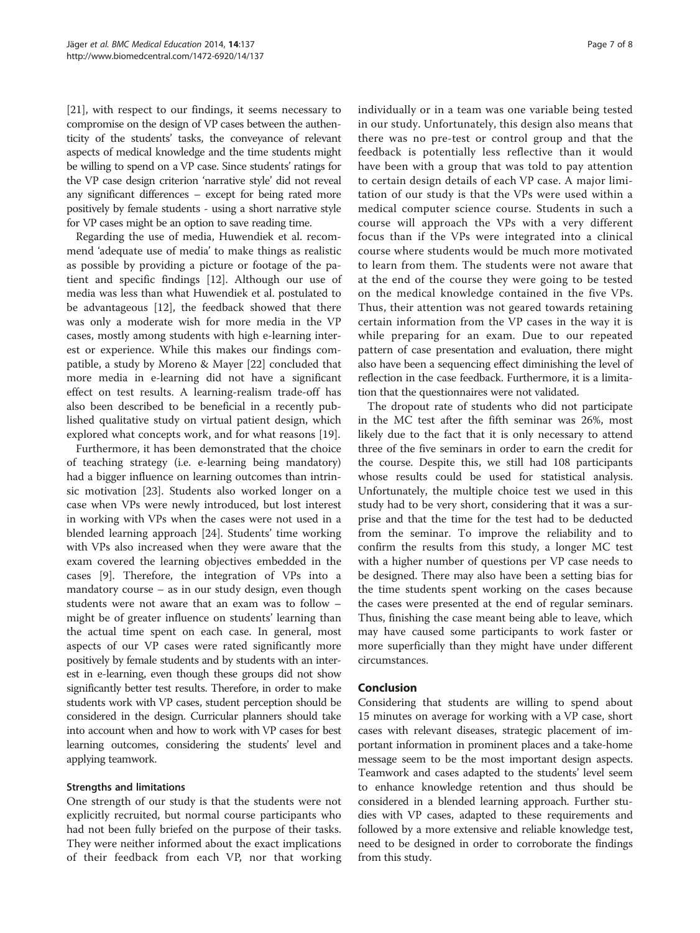[[21\]](#page-7-0), with respect to our findings, it seems necessary to compromise on the design of VP cases between the authenticity of the students' tasks, the conveyance of relevant aspects of medical knowledge and the time students might be willing to spend on a VP case. Since students' ratings for the VP case design criterion 'narrative style' did not reveal any significant differences – except for being rated more positively by female students - using a short narrative style for VP cases might be an option to save reading time.

Regarding the use of media, Huwendiek et al. recommend 'adequate use of media' to make things as realistic as possible by providing a picture or footage of the patient and specific findings [[12\]](#page-7-0). Although our use of media was less than what Huwendiek et al. postulated to be advantageous [\[12\]](#page-7-0), the feedback showed that there was only a moderate wish for more media in the VP cases, mostly among students with high e-learning interest or experience. While this makes our findings compatible, a study by Moreno & Mayer [\[22](#page-7-0)] concluded that more media in e-learning did not have a significant effect on test results. A learning-realism trade-off has also been described to be beneficial in a recently published qualitative study on virtual patient design, which explored what concepts work, and for what reasons [[19](#page-7-0)].

Furthermore, it has been demonstrated that the choice of teaching strategy (i.e. e-learning being mandatory) had a bigger influence on learning outcomes than intrinsic motivation [\[23](#page-7-0)]. Students also worked longer on a case when VPs were newly introduced, but lost interest in working with VPs when the cases were not used in a blended learning approach [[24\]](#page-7-0). Students' time working with VPs also increased when they were aware that the exam covered the learning objectives embedded in the cases [[9\]](#page-7-0). Therefore, the integration of VPs into a mandatory course – as in our study design, even though students were not aware that an exam was to follow – might be of greater influence on students' learning than the actual time spent on each case. In general, most aspects of our VP cases were rated significantly more positively by female students and by students with an interest in e-learning, even though these groups did not show significantly better test results. Therefore, in order to make students work with VP cases, student perception should be considered in the design. Curricular planners should take into account when and how to work with VP cases for best learning outcomes, considering the students' level and applying teamwork.

## Strengths and limitations

One strength of our study is that the students were not explicitly recruited, but normal course participants who had not been fully briefed on the purpose of their tasks. They were neither informed about the exact implications of their feedback from each VP, nor that working individually or in a team was one variable being tested in our study. Unfortunately, this design also means that there was no pre-test or control group and that the feedback is potentially less reflective than it would have been with a group that was told to pay attention to certain design details of each VP case. A major limitation of our study is that the VPs were used within a medical computer science course. Students in such a course will approach the VPs with a very different focus than if the VPs were integrated into a clinical course where students would be much more motivated to learn from them. The students were not aware that at the end of the course they were going to be tested on the medical knowledge contained in the five VPs. Thus, their attention was not geared towards retaining certain information from the VP cases in the way it is while preparing for an exam. Due to our repeated pattern of case presentation and evaluation, there might also have been a sequencing effect diminishing the level of reflection in the case feedback. Furthermore, it is a limitation that the questionnaires were not validated.

The dropout rate of students who did not participate in the MC test after the fifth seminar was 26%, most likely due to the fact that it is only necessary to attend three of the five seminars in order to earn the credit for the course. Despite this, we still had 108 participants whose results could be used for statistical analysis. Unfortunately, the multiple choice test we used in this study had to be very short, considering that it was a surprise and that the time for the test had to be deducted from the seminar. To improve the reliability and to confirm the results from this study, a longer MC test with a higher number of questions per VP case needs to be designed. There may also have been a setting bias for the time students spent working on the cases because the cases were presented at the end of regular seminars. Thus, finishing the case meant being able to leave, which may have caused some participants to work faster or more superficially than they might have under different circumstances.

## Conclusion

Considering that students are willing to spend about 15 minutes on average for working with a VP case, short cases with relevant diseases, strategic placement of important information in prominent places and a take-home message seem to be the most important design aspects. Teamwork and cases adapted to the students' level seem to enhance knowledge retention and thus should be considered in a blended learning approach. Further studies with VP cases, adapted to these requirements and followed by a more extensive and reliable knowledge test, need to be designed in order to corroborate the findings from this study.